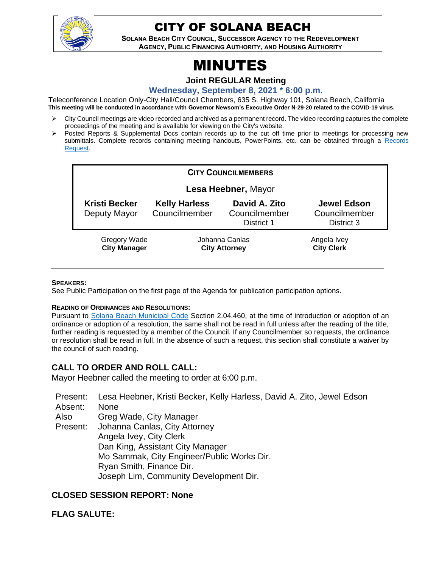

## CITY OF SOLANA BEACH

**SOLANA BEACH CITY COUNCIL, SUCCESSOR AGENCY TO THE REDEVELOPMENT AGENCY, PUBLIC FINANCING AUTHORITY, AND HOUSING AUTHORITY** 

# MINUTES

**Joint REGULAR Meeting**

**Wednesday, September 8, 2021 \* 6:00 p.m.**

Teleconference Location Only-City Hall/Council Chambers, 635 S. Highway 101, Solana Beach, California **This meeting will be conducted in accordance with Governor Newsom's Executive Order N-29-20 related to the COVID-19 virus.**

- ➢ City Council meetings are video recorded and archived as a permanent record. The video recording captures the complete proceedings of the meeting and is available for viewing on the City's website.
- Posted Reports & Supplemental Docs contain records up to the cut off time prior to meetings for processing new submittals. Complete records containing meeting handouts, PowerPoints, etc. can be obtained through a Records [Request.](http://www.ci.solana-beach.ca.us/index.asp?SEC=F5D45D10-70CE-4291-A27C-7BD633FC6742&Type=B_BASIC)

| <b>CITY COUNCILMEMBERS</b>           |                                        |                                              |                                                   |
|--------------------------------------|----------------------------------------|----------------------------------------------|---------------------------------------------------|
| Lesa Heebner, Mayor                  |                                        |                                              |                                                   |
| <b>Kristi Becker</b><br>Deputy Mayor | <b>Kelly Harless</b><br>Councilmember  | David A. Zito<br>Councilmember<br>District 1 | <b>Jewel Edson</b><br>Councilmember<br>District 3 |
| Gregory Wade<br><b>City Manager</b>  | Johanna Canlas<br><b>City Attorney</b> |                                              | Angela Ivey<br><b>City Clerk</b>                  |

#### **SPEAKERS:**

See Public Participation on the first page of the Agenda for publication participation options.

#### **READING OF ORDINANCES AND RESOLUTIONS:**

Pursuant to [Solana Beach Municipal Code](https://www.codepublishing.com/CA/SolanaBeach/) Section 2.04.460, at the time of introduction or adoption of an ordinance or adoption of a resolution, the same shall not be read in full unless after the reading of the title, further reading is requested by a member of the Council. If any Councilmember so requests, the ordinance or resolution shall be read in full. In the absence of such a request, this section shall constitute a waiver by the council of such reading.

## **CALL TO ORDER AND ROLL CALL:**

Mayor Heebner called the meeting to order at 6:00 p.m.

Present: Lesa Heebner, Kristi Becker, Kelly Harless, David A. Zito, Jewel Edson Absent: None Also Present: Greg Wade, City Manager Johanna Canlas, City Attorney Angela Ivey, City Clerk Dan King, Assistant City Manager Mo Sammak, City Engineer/Public Works Dir. Ryan Smith, Finance Dir. Joseph Lim, Community Development Dir.

## **CLOSED SESSION REPORT: None**

**FLAG SALUTE:**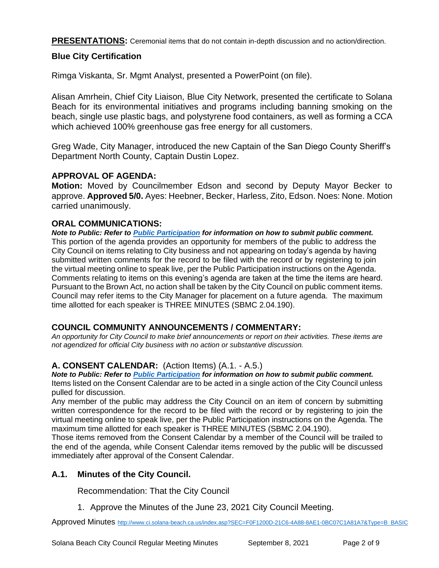**PRESENTATIONS:** Ceremonial items that do not contain in-depth discussion and no action/direction.

## **Blue City Certification**

Rimga Viskanta, Sr. Mgmt Analyst, presented a PowerPoint (on file).

Alisan Amrhein, Chief City Liaison, Blue City Network, presented the certificate to Solana Beach for its environmental initiatives and programs including banning smoking on the beach, single use plastic bags, and polystyrene food containers, as well as forming a CCA which achieved 100% greenhouse gas free energy for all customers.

Greg Wade, City Manager, introduced the new Captain of the San Diego County Sheriff's Department North County, Captain Dustin Lopez.

## **APPROVAL OF AGENDA:**

**Motion:** Moved by Councilmember Edson and second by Deputy Mayor Becker to approve. **Approved 5/0.** Ayes: Heebner, Becker, Harless, Zito, Edson. Noes: None. Motion carried unanimously.

## **ORAL COMMUNICATIONS:**

*Note to Public: Refer to Public Participation for information on how to submit public comment.*  This portion of the agenda provides an opportunity for members of the public to address the City Council on items relating to City business and not appearing on today's agenda by having submitted written comments for the record to be filed with the record or by registering to join the virtual meeting online to speak live, per the Public Participation instructions on the Agenda. Comments relating to items on this evening's agenda are taken at the time the items are heard. Pursuant to the Brown Act, no action shall be taken by the City Council on public comment items. Council may refer items to the City Manager for placement on a future agenda. The maximum time allotted for each speaker is THREE MINUTES (SBMC 2.04.190).

## **COUNCIL COMMUNITY ANNOUNCEMENTS / COMMENTARY:**

*An opportunity for City Council to make brief announcements or report on their activities. These items are not agendized for official City business with no action or substantive discussion.* 

## **A. CONSENT CALENDAR:** (Action Items) (A.1. - A.5.)

*Note to Public: Refer to Public Participation for information on how to submit public comment.*  Items listed on the Consent Calendar are to be acted in a single action of the City Council unless pulled for discussion.

Any member of the public may address the City Council on an item of concern by submitting written correspondence for the record to be filed with the record or by registering to join the virtual meeting online to speak live, per the Public Participation instructions on the Agenda. The maximum time allotted for each speaker is THREE MINUTES (SBMC 2.04.190).

Those items removed from the Consent Calendar by a member of the Council will be trailed to the end of the agenda, while Consent Calendar items removed by the public will be discussed immediately after approval of the Consent Calendar.

## **A.1. Minutes of the City Council.**

Recommendation: That the City Council

1. Approve the Minutes of the June 23, 2021 City Council Meeting.

Approved Minutes [http://www.ci.solana-beach.ca.us/index.asp?SEC=F0F1200D-21C6-4A88-8AE1-0BC07C1A81A7&Type=B\\_BASIC](http://www.ci.solana-beach.ca.us/index.asp?SEC=F0F1200D-21C6-4A88-8AE1-0BC07C1A81A7&Type=B_BASIC)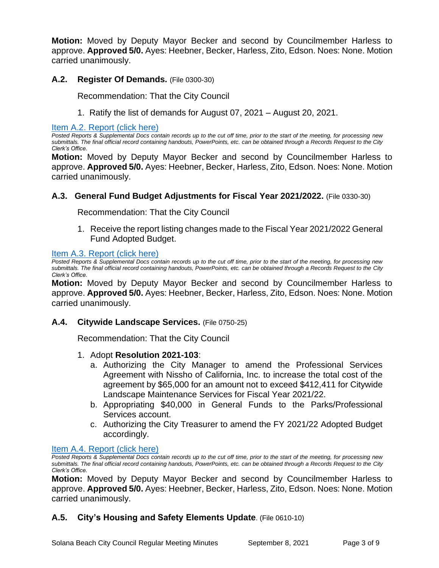**Motion:** Moved by Deputy Mayor Becker and second by Councilmember Harless to approve. **Approved 5/0.** Ayes: Heebner, Becker, Harless, Zito, Edson. Noes: None. Motion carried unanimously.

## **A.2. Register Of Demands.** (File 0300-30)

Recommendation: That the City Council

1. Ratify the list of demands for August 07, 2021 – August 20, 2021.

## [Item A.2. Report \(click here\)](https://solanabeach.govoffice3.com/vertical/Sites/%7B840804C2-F869-4904-9AE3-720581350CE7%7D/uploads/Item_A.2._Report_(click_here)_-_09-08-21_-_O.pdf)

*Posted Reports & Supplemental Docs contain records up to the cut off time, prior to the start of the meeting, for processing new submittals. The final official record containing handouts, PowerPoints, etc. can be obtained through a Records Request to the City Clerk's Office.*

**Motion:** Moved by Deputy Mayor Becker and second by Councilmember Harless to approve. **Approved 5/0.** Ayes: Heebner, Becker, Harless, Zito, Edson. Noes: None. Motion carried unanimously.

## **A.3. General Fund Budget Adjustments for Fiscal Year 2021/2022.** (File 0330-30)

Recommendation: That the City Council

1. Receive the report listing changes made to the Fiscal Year 2021/2022 General Fund Adopted Budget.

## [Item A.3. Report \(click here\)](https://solanabeach.govoffice3.com/vertical/Sites/%7B840804C2-F869-4904-9AE3-720581350CE7%7D/uploads/Item_A.3._Report_(click_here)_-_09-08-21_-_O.pdf)

*Posted Reports & Supplemental Docs contain records up to the cut off time, prior to the start of the meeting, for processing new submittals. The final official record containing handouts, PowerPoints, etc. can be obtained through a Records Request to the City Clerk's Office.*

**Motion:** Moved by Deputy Mayor Becker and second by Councilmember Harless to approve. **Approved 5/0.** Ayes: Heebner, Becker, Harless, Zito, Edson. Noes: None. Motion carried unanimously.

## **A.4. Citywide Landscape Services.** (File 0750-25)

Recommendation: That the City Council

- 1. Adopt **Resolution 2021-103**:
	- a. Authorizing the City Manager to amend the Professional Services Agreement with Nissho of California, Inc. to increase the total cost of the agreement by \$65,000 for an amount not to exceed \$412,411 for Citywide Landscape Maintenance Services for Fiscal Year 2021/22.
	- b. Appropriating \$40,000 in General Funds to the Parks/Professional Services account.
	- c. Authorizing the City Treasurer to amend the FY 2021/22 Adopted Budget accordingly.

### [Item A.4. Report \(click here\)](https://solanabeach.govoffice3.com/vertical/Sites/%7B840804C2-F869-4904-9AE3-720581350CE7%7D/uploads/Item_A.4._Report_(click_here)_-_09-08-21_-_O.pdf)

*Posted Reports & Supplemental Docs contain records up to the cut off time, prior to the start of the meeting, for processing new submittals. The final official record containing handouts, PowerPoints, etc. can be obtained through a Records Request to the City Clerk's Office.*

**Motion:** Moved by Deputy Mayor Becker and second by Councilmember Harless to approve. **Approved 5/0.** Ayes: Heebner, Becker, Harless, Zito, Edson. Noes: None. Motion carried unanimously.

## **A.5. City's Housing and Safety Elements Update**. (File 0610-10)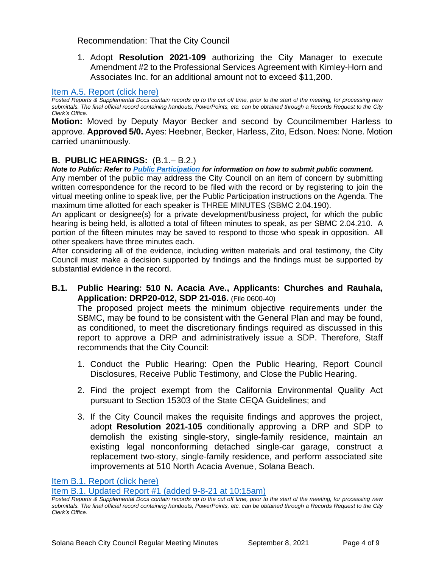Recommendation: That the City Council

1. Adopt **Resolution 2021-109** authorizing the City Manager to execute Amendment #2 to the Professional Services Agreement with Kimley-Horn and Associates Inc. for an additional amount not to exceed \$11,200.

## [Item A.5. Report \(click here\)](https://solanabeach.govoffice3.com/vertical/Sites/%7B840804C2-F869-4904-9AE3-720581350CE7%7D/uploads/Item_A.5._Report_(click_here)_-_09-08-21_-_O.pdf)

*Posted Reports & Supplemental Docs contain records up to the cut off time, prior to the start of the meeting, for processing new submittals. The final official record containing handouts, PowerPoints, etc. can be obtained through a Records Request to the City Clerk's Office.*

**Motion:** Moved by Deputy Mayor Becker and second by Councilmember Harless to approve. **Approved 5/0.** Ayes: Heebner, Becker, Harless, Zito, Edson. Noes: None. Motion carried unanimously.

## **B. PUBLIC HEARINGS:** (B.1.– B.2.)

*Note to Public: Refer to Public Participation for information on how to submit public comment.*  Any member of the public may address the City Council on an item of concern by submitting written correspondence for the record to be filed with the record or by registering to join the virtual meeting online to speak live, per the Public Participation instructions on the Agenda. The

maximum time allotted for each speaker is THREE MINUTES (SBMC 2.04.190). An applicant or designee(s) for a private development/business project, for which the public hearing is being held, is allotted a total of fifteen minutes to speak, as per SBMC 2.04.210. A portion of the fifteen minutes may be saved to respond to those who speak in opposition. All other speakers have three minutes each.

After considering all of the evidence, including written materials and oral testimony, the City Council must make a decision supported by findings and the findings must be supported by substantial evidence in the record.

**B.1. Public Hearing: 510 N. Acacia Ave., Applicants: Churches and Rauhala, Application: DRP20-012, SDP 21-016.** (File 0600-40)

The proposed project meets the minimum objective requirements under the SBMC, may be found to be consistent with the General Plan and may be found, as conditioned, to meet the discretionary findings required as discussed in this report to approve a DRP and administratively issue a SDP. Therefore, Staff recommends that the City Council:

- 1. Conduct the Public Hearing: Open the Public Hearing, Report Council Disclosures, Receive Public Testimony, and Close the Public Hearing.
- 2. Find the project exempt from the California Environmental Quality Act pursuant to Section 15303 of the State CEQA Guidelines; and
- 3. If the City Council makes the requisite findings and approves the project, adopt **Resolution 2021-105** conditionally approving a DRP and SDP to demolish the existing single-story, single-family residence, maintain an existing legal nonconforming detached single-car garage, construct a replacement two-story, single-family residence, and perform associated site improvements at 510 North Acacia Avenue, Solana Beach.

[Item B.1. Report \(click here\)](https://solanabeach.govoffice3.com/vertical/Sites/%7B840804C2-F869-4904-9AE3-720581350CE7%7D/uploads/Item_B.1._Report_(click_here)_-_09-08-21_-_O.pdf)

[Item B.1. Updated Report #1 \(added 9-8-21 at 10:15am\)](https://solanabeach.govoffice3.com/vertical/Sites/%7B840804C2-F869-4904-9AE3-720581350CE7%7D/uploads/Item_B.1._Updated_Report_1_(9-8_at_10am)_-_O.pdf)

*Posted Reports & Supplemental Docs contain records up to the cut off time, prior to the start of the meeting, for processing new submittals. The final official record containing handouts, PowerPoints, etc. can be obtained through a Records Request to the City Clerk's Office.*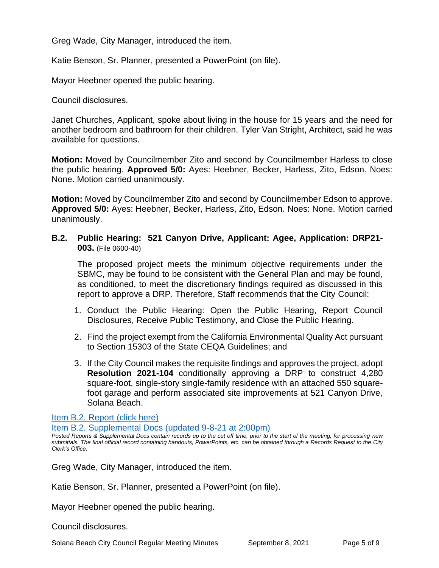Greg Wade, City Manager, introduced the item.

Katie Benson, Sr. Planner, presented a PowerPoint (on file).

Mayor Heebner opened the public hearing.

Council disclosures.

Janet Churches, Applicant, spoke about living in the house for 15 years and the need for another bedroom and bathroom for their children. Tyler Van Stright, Architect, said he was available for questions.

**Motion:** Moved by Councilmember Zito and second by Councilmember Harless to close the public hearing. **Approved 5/0:** Ayes: Heebner, Becker, Harless, Zito, Edson. Noes: None. Motion carried unanimously.

**Motion:** Moved by Councilmember Zito and second by Councilmember Edson to approve. **Approved 5/0:** Ayes: Heebner, Becker, Harless, Zito, Edson. Noes: None. Motion carried unanimously.

## **B.2. Public Hearing: 521 Canyon Drive, Applicant: Agee, Application: DRP21- 003.** (File 0600-40)

The proposed project meets the minimum objective requirements under the SBMC, may be found to be consistent with the General Plan and may be found, as conditioned, to meet the discretionary findings required as discussed in this report to approve a DRP. Therefore, Staff recommends that the City Council:

- 1. Conduct the Public Hearing: Open the Public Hearing, Report Council Disclosures, Receive Public Testimony, and Close the Public Hearing.
- 2. Find the project exempt from the California Environmental Quality Act pursuant to Section 15303 of the State CEQA Guidelines; and
- 3. If the City Council makes the requisite findings and approves the project, adopt **Resolution 2021-104** conditionally approving a DRP to construct 4,280 square-foot, single-story single-family residence with an attached 550 squarefoot garage and perform associated site improvements at 521 Canyon Drive, Solana Beach.

[Item B.2. Report \(click here\)](https://solanabeach.govoffice3.com/vertical/Sites/%7B840804C2-F869-4904-9AE3-720581350CE7%7D/uploads/Item_B.2._Report_(click_here)_-_09-08-21_-_O.pdf)

[Item B.2. Supplemental Docs \(updated 9-8-21 at 2:00pm\)](https://solanabeach.govoffice3.com/vertical/Sites/%7B840804C2-F869-4904-9AE3-720581350CE7%7D/uploads/Item_B.2._Supplemental_Docs_(upd._9-8_at_105pm)_-_O.pdf)

*Posted Reports & Supplemental Docs contain records up to the cut off time, prior to the start of the meeting, for processing new submittals. The final official record containing handouts, PowerPoints, etc. can be obtained through a Records Request to the City Clerk's Office.*

Greg Wade, City Manager, introduced the item.

Katie Benson, Sr. Planner, presented a PowerPoint (on file).

Mayor Heebner opened the public hearing.

Council disclosures.

Solana Beach City Council Regular Meeting Minutes September 8, 2021 Page 5 of 9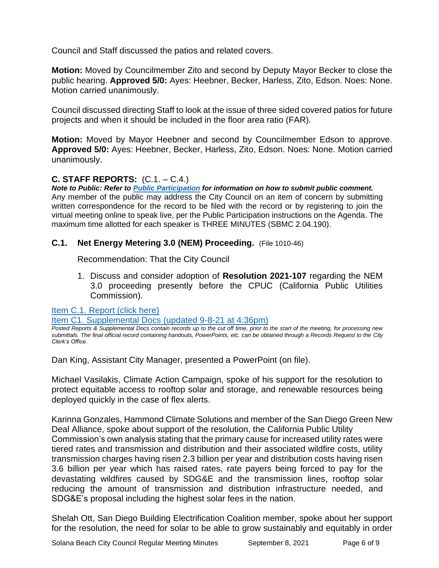Council and Staff discussed the patios and related covers.

**Motion:** Moved by Councilmember Zito and second by Deputy Mayor Becker to close the public hearing. **Approved 5/0:** Ayes: Heebner, Becker, Harless, Zito, Edson. Noes: None. Motion carried unanimously.

Council discussed directing Staff to look at the issue of three sided covered patios for future projects and when it should be included in the floor area ratio (FAR).

**Motion:** Moved by Mayor Heebner and second by Councilmember Edson to approve. **Approved 5/0:** Ayes: Heebner, Becker, Harless, Zito, Edson. Noes: None. Motion carried unanimously.

## **C. STAFF REPORTS:** (C.1. – C.4.)

*Note to Public: Refer to Public Participation for information on how to submit public comment.*  Any member of the public may address the City Council on an item of concern by submitting written correspondence for the record to be filed with the record or by registering to join the virtual meeting online to speak live, per the Public Participation instructions on the Agenda. The maximum time allotted for each speaker is THREE MINUTES (SBMC 2.04.190).

## **C.1. Net Energy Metering 3.0 (NEM) Proceeding.** (File 1010-46)

Recommendation: That the City Council

1. Discuss and consider adoption of **Resolution 2021-107** regarding the NEM 3.0 proceeding presently before the CPUC (California Public Utilities Commission).

[Item C.1. Report \(click here\)](https://solanabeach.govoffice3.com/vertical/Sites/%7B840804C2-F869-4904-9AE3-720581350CE7%7D/uploads/Item_C.1._Report_(click_here)_-_09-08-21_-_O.pdf)

[Item C1. Supplemental Docs \(updated 9-8-21 at 4:36pm\)](https://solanabeach.govoffice3.com/vertical/Sites/%7B840804C2-F869-4904-9AE3-720581350CE7%7D/uploads/Item_C.1._Supplemental_Docs_(upd._9-8_at_436pm)_-_O.pdf)

*Posted Reports & Supplemental Docs contain records up to the cut off time, prior to the start of the meeting, for processing new submittals. The final official record containing handouts, PowerPoints, etc. can be obtained through a Records Request to the City Clerk's Office.*

Dan King, Assistant City Manager, presented a PowerPoint (on file).

Michael Vasilakis, Climate Action Campaign, spoke of his support for the resolution to protect equitable access to rooftop solar and storage, and renewable resources being deployed quickly in the case of flex alerts.

Karinna Gonzales, Hammond Climate Solutions and member of the San Diego Green New Deal Alliance, spoke about support of the resolution, the California Public Utility Commission's own analysis stating that the primary cause for increased utility rates were tiered rates and transmission and distribution and their associated wildfire costs, utility transmission charges having risen 2.3 billion per year and distribution costs having risen 3.6 billion per year which has raised rates, rate payers being forced to pay for the devastating wildfires caused by SDG&E and the transmission lines, rooftop solar reducing the amount of transmission and distribution infrastructure needed, and SDG&E's proposal including the highest solar fees in the nation.

Shelah Ott, San Diego Building Electrification Coalition member, spoke about her support for the resolution, the need for solar to be able to grow sustainably and equitably in order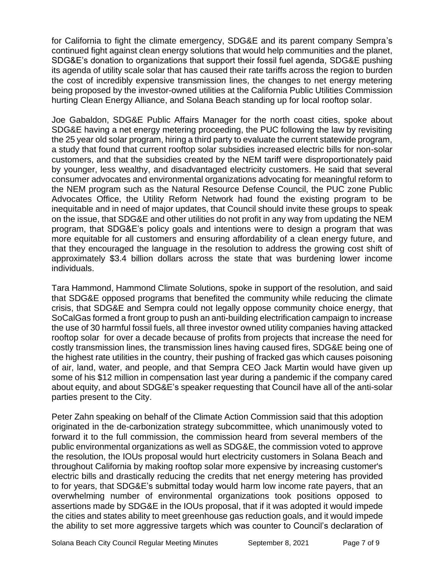for California to fight the climate emergency, SDG&E and its parent company Sempra's continued fight against clean energy solutions that would help communities and the planet, SDG&E's donation to organizations that support their fossil fuel agenda, SDG&E pushing its agenda of utility scale solar that has caused their rate tariffs across the region to burden the cost of incredibly expensive transmission lines, the changes to net energy metering being proposed by the investor-owned utilities at the California Public Utilities Commission hurting Clean Energy Alliance, and Solana Beach standing up for local rooftop solar.

Joe Gabaldon, SDG&E Public Affairs Manager for the north coast cities, spoke about SDG&E having a net energy metering proceeding, the PUC following the law by revisiting the 25 year old solar program, hiring a third party to evaluate the current statewide program, a study that found that current rooftop solar subsidies increased electric bills for non-solar customers, and that the subsidies created by the NEM tariff were disproportionately paid by younger, less wealthy, and disadvantaged electricity customers. He said that several consumer advocates and environmental organizations advocating for meaningful reform to the NEM program such as the Natural Resource Defense Council, the PUC zone Public Advocates Office, the Utility Reform Network had found the existing program to be inequitable and in need of major updates, that Council should invite these groups to speak on the issue, that SDG&E and other utilities do not profit in any way from updating the NEM program, that SDG&E's policy goals and intentions were to design a program that was more equitable for all customers and ensuring affordability of a clean energy future, and that they encouraged the language in the resolution to address the growing cost shift of approximately \$3.4 billion dollars across the state that was burdening lower income individuals.

Tara Hammond, Hammond Climate Solutions, spoke in support of the resolution, and said that SDG&E opposed programs that benefited the community while reducing the climate crisis, that SDG&E and Sempra could not legally oppose community choice energy, that SoCalGas formed a front group to push an anti-building electrification campaign to increase the use of 30 harmful fossil fuels, all three investor owned utility companies having attacked rooftop solar for over a decade because of profits from projects that increase the need for costly transmission lines, the transmission lines having caused fires, SDG&E being one of the highest rate utilities in the country, their pushing of fracked gas which causes poisoning of air, land, water, and people, and that Sempra CEO Jack Martin would have given up some of his \$12 million in compensation last year during a pandemic if the company cared about equity, and about SDG&E's speaker requesting that Council have all of the anti-solar parties present to the City.

Peter Zahn speaking on behalf of the Climate Action Commission said that this adoption originated in the de-carbonization strategy subcommittee, which unanimously voted to forward it to the full commission, the commission heard from several members of the public environmental organizations as well as SDG&E, the commission voted to approve the resolution, the IOUs proposal would hurt electricity customers in Solana Beach and throughout California by making rooftop solar more expensive by increasing customer's electric bills and drastically reducing the credits that net energy metering has provided to for years, that SDG&E's submittal today would harm low income rate payers, that an overwhelming number of environmental organizations took positions opposed to assertions made by SDG&E in the IOUs proposal, that if it was adopted it would impede the cities and states ability to meet greenhouse gas reduction goals, and it would impede the ability to set more aggressive targets which was counter to Council's declaration of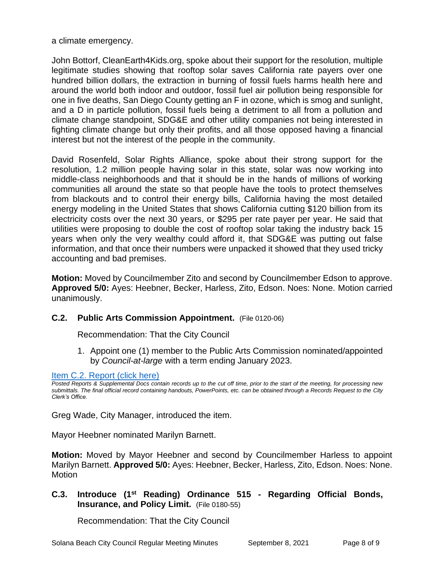a climate emergency.

John Bottorf, CleanEarth4Kids.org, spoke about their support for the resolution, multiple legitimate studies showing that rooftop solar saves California rate payers over one hundred billion dollars, the extraction in burning of fossil fuels harms health here and around the world both indoor and outdoor, fossil fuel air pollution being responsible for one in five deaths, San Diego County getting an F in ozone, which is smog and sunlight, and a D in particle pollution, fossil fuels being a detriment to all from a pollution and climate change standpoint, SDG&E and other utility companies not being interested in fighting climate change but only their profits, and all those opposed having a financial interest but not the interest of the people in the community.

David Rosenfeld, Solar Rights Alliance, spoke about their strong support for the resolution, 1.2 million people having solar in this state, solar was now working into middle-class neighborhoods and that it should be in the hands of millions of working communities all around the state so that people have the tools to protect themselves from blackouts and to control their energy bills, California having the most detailed energy modeling in the United States that shows California cutting \$120 billion from its electricity costs over the next 30 years, or \$295 per rate payer per year. He said that utilities were proposing to double the cost of rooftop solar taking the industry back 15 years when only the very wealthy could afford it, that SDG&E was putting out false information, and that once their numbers were unpacked it showed that they used tricky accounting and bad premises.

**Motion:** Moved by Councilmember Zito and second by Councilmember Edson to approve. **Approved 5/0:** Ayes: Heebner, Becker, Harless, Zito, Edson. Noes: None. Motion carried unanimously.

## **C.2. Public Arts Commission Appointment.** (File 0120-06)

Recommendation: That the City Council

1. Appoint one (1) member to the Public Arts Commission nominated/appointed by *Council-at-large* with a term ending January 2023.

### [Item C.2. Report](https://solanabeach.govoffice3.com/vertical/Sites/%7B840804C2-F869-4904-9AE3-720581350CE7%7D/uploads/Item_C.2._Report_(click_here)_-_09-08-21_-_O.pdf) (click here)

Greg Wade, City Manager, introduced the item.

Mayor Heebner nominated Marilyn Barnett.

**Motion:** Moved by Mayor Heebner and second by Councilmember Harless to appoint Marilyn Barnett. **Approved 5/0:** Ayes: Heebner, Becker, Harless, Zito, Edson. Noes: None. Motion

## **C.3. Introduce (1st Reading) Ordinance 515 - Regarding Official Bonds, Insurance, and Policy Limit.** (File 0180-55)

Recommendation: That the City Council

*Posted Reports & Supplemental Docs contain records up to the cut off time, prior to the start of the meeting, for processing new submittals. The final official record containing handouts, PowerPoints, etc. can be obtained through a Records Request to the City Clerk's Office.*